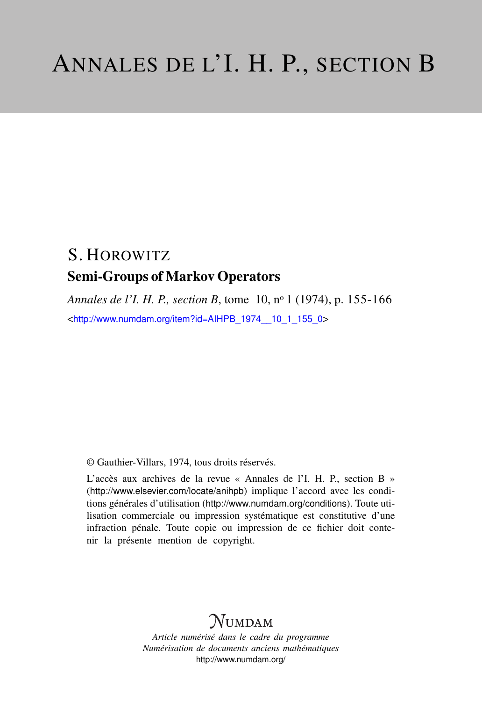## S. HOROWITZ Semi-Groups of Markov Operators

*Annales de l'I. H. P., section B*, tome 10, n<sup>o</sup> 1 (1974), p. 155-166 <[http://www.numdam.org/item?id=AIHPB\\_1974\\_\\_10\\_1\\_155\\_0](http://www.numdam.org/item?id=AIHPB_1974__10_1_155_0)>

© Gauthier-Villars, 1974, tous droits réservés.

L'accès aux archives de la revue « Annales de l'I. H. P., section B » (<http://www.elsevier.com/locate/anihpb>) implique l'accord avec les conditions générales d'utilisation (<http://www.numdam.org/conditions>). Toute utilisation commerciale ou impression systématique est constitutive d'une infraction pénale. Toute copie ou impression de ce fichier doit contenir la présente mention de copyright.

# **NUMDAM**

*Article numérisé dans le cadre du programme Numérisation de documents anciens mathématiques* <http://www.numdam.org/>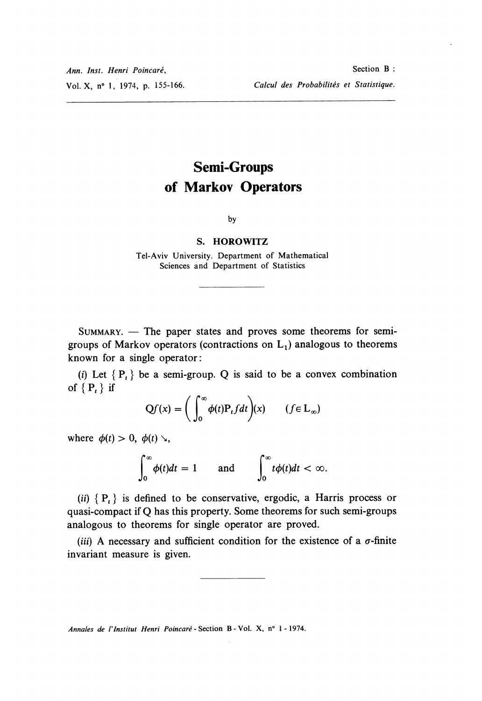## Semi-Groups of Markov Operators

by

#### S. HOROWITZ

Tel-Aviv University. Department of Mathematical Sciences and Department of Statistics

 $SUMMARY.$  - The paper states and proves some theorems for semigroups of Markov operators (contractions on  $L_1$ ) analogous to theorems known for a single operator :

(i) Let  ${P_t}$  be a semi-group. Q is said to be a convex combination of  ${P_t}$  if

$$
Qf(x) = \left(\int_0^\infty \phi(t) P_t f dt\right)(x) \qquad (f \in L_\infty)
$$

where  $\phi(t) > 0$ ,  $\phi(t) > 0$ ,

$$
\int_0^\infty \phi(t)dt = 1 \quad \text{and} \quad \int_0^\infty t\phi(t)dt < \infty.
$$

(ii)  $\{P_t\}$  is defined to be conservative, ergodic, a Harris process or quasi-compact if Q has this property. Some theorems for such semi-groups analogous to theorems for single operator are proved.

(iii) A necessary and sufficient condition for the existence of a  $\sigma$ -finite invariant measure is given.

Annales de /' Institut Henri Poincaré - Section B - Vol. X, n° 1 - 1974.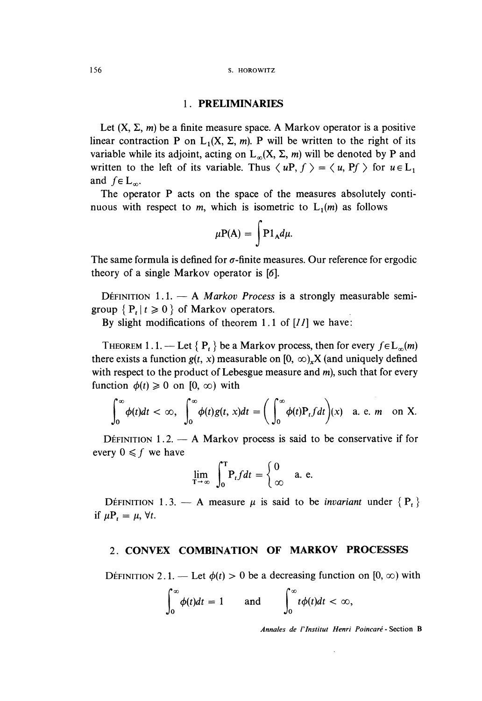### 1 PRELIMINARIES

Let  $(X, \Sigma, m)$  be a finite measure space. A Markov operator is a positive linear contraction P on  $L_1(X, \Sigma, m)$ . P will be written to the right of its variable while its adjoint, acting on  $L_{\infty}(X, \Sigma, m)$  will be denoted by P and written to the left of its variable. Thus  $\langle uP, f \rangle = \langle u, Pf \rangle$  for  $u \in L_1$ and  $f \in L_{\infty}$ .

The operator P acts on the space of the measures absolutely continuous with respect to m, which is isometric to  $L_1(m)$  as follows

$$
\mu P(A) = \int P 1_A d\mu.
$$

The same formula is defined for  $\sigma$ -finite measures. Our reference for ergodic theory of a single Markov operator is [6].

DEFINITION 1.1.  $-$  A *Markov Process* is a strongly measurable semigroup  $\{P_t | t \geq 0\}$  of Markov operators.

By slight modifications of theorem 1.1 of  $[I]$  we have:

THEOREM 1.1. -- Let  $\{P_t\}$  be a Markov process, then for every  $f \in L_{\infty}(m)$ there exists a function  $g(t, x)$  measurable on [0,  $\infty$ ). X (and uniquely defined with respect to the product of Lebesgue measure and  $m$ ), such that for every function  $\phi(t) \geq 0$  on  $[0, \infty)$  with

$$
\int_0^\infty \phi(t)dt < \infty, \quad \int_0^\infty \phi(t)g(t,x)dt = \bigg(\int_0^\infty \phi(t)P_t f dt\bigg)(x) \quad \text{a. e. } m \quad \text{on } X.
$$

DÉFINITION  $1.2 - A$  Markov process is said to be conservative if for every  $0 \leq f$  we have

$$
\lim_{T \to \infty} \int_0^T P_t f dt = \begin{cases} 0 & \text{a. e.} \\ \infty & \end{cases}
$$

DÉFINITION 1.3. - A measure  $\mu$  is said to be *invariant* under  $\{P_t\}$ if  $\mu P_t = \mu$ ,  $\forall t$ .

#### 2. CONVEX COMBINATION OF MARKOV PROCESSES

DÉFINITION 2.1. — Let  $\phi(t) > 0$  be a decreasing function on [0,  $\infty$ ) with

$$
\int_0^\infty \phi(t)dt = 1 \quad \text{and} \quad \int_0^\infty t\phi(t)dt < \infty,
$$

Annales de I'Institut Henri Poincaré - Section B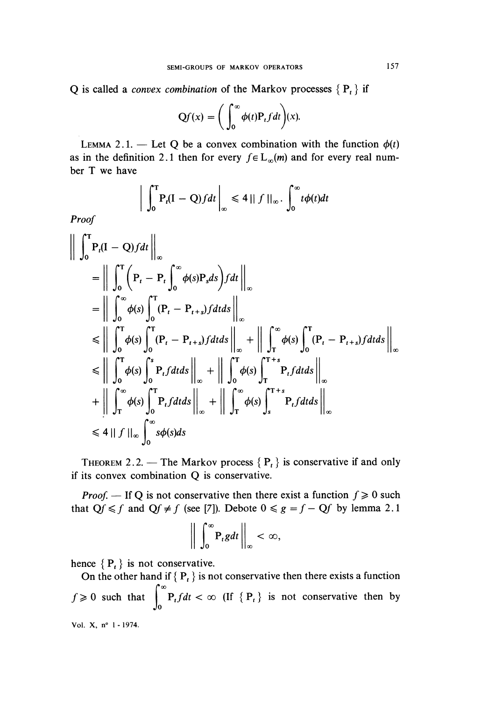Q is called a *convex combination* of the Markov processes  ${P_t}$  if

$$
Qf(x) = \bigg(\int_0^\infty \phi(t) P_t f dt\bigg)(x).
$$

LEMMA 2.1. - Let O be a convex combination with the function  $\phi(t)$ as in the definition 2.1 then for every  $f \in L_{\infty}(m)$  and for every real number T we have

$$
\left.\int_0^T P_t(I-Q)fdt\right|_{\infty}\leq 4||f||_{\infty}.\int_0^{\infty}t\phi(t)dt
$$

Proof

$$
\left\| \int_{0}^{T} P_{t}(I - Q) f dt \right\|_{\infty}
$$
\n=
$$
\left\| \int_{0}^{T} \left( P_{t} - P_{t} \int_{0}^{\infty} \phi(s) P_{s} ds \right) f dt \right\|_{\infty}
$$
\n=
$$
\left\| \int_{0}^{\infty} \phi(s) \int_{0}^{T} (P_{t} - P_{t+s}) f dt ds \right\|_{\infty}
$$
\n
$$
\leq \left\| \int_{0}^{T} \phi(s) \int_{0}^{T} (P_{t} - P_{t+s}) f dt ds \right\|_{\infty} + \left\| \int_{T}^{\infty} \phi(s) \int_{0}^{T} (P_{t} - P_{t+s}) f dt ds \right\|_{\infty}
$$
\n
$$
\leq \left\| \int_{0}^{T} \phi(s) \int_{0}^{s} P_{t} f dt ds \right\|_{\infty} + \left\| \int_{0}^{T} \phi(s) \int_{T}^{T+s} P_{t} f dt ds \right\|_{\infty}
$$
\n+
$$
\left\| \int_{T}^{\infty} \phi(s) \int_{0}^{T} P_{t} f dt ds \right\|_{\infty} + \left\| \int_{T}^{\infty} \phi(s) \int_{s}^{T+s} P_{t} f dt ds \right\|_{\infty}
$$
\n
$$
\leq 4 \left\| f \right\|_{\infty} \int_{0}^{\infty} s \phi(s) ds
$$

THEOREM 2.2. – The Markov process  $\{P_t\}$  is conservative if and only if its convex combination Q is conservative.

*Proof.* – If Q is not conservative then there exist a function  $f \ge 0$  such that  $Qf \le f$  and  $Qf \ne f$  (see [7]). Debote  $0 \le g = f - Qf$  by lemma 2.1

$$
\bigg\|\int_0^\infty \mathbf{P}_t g dt\bigg\|_\infty < \infty,
$$

hence  ${P<sub>t</sub>}$  is not conservative.

On the other hand if  ${P_t}$  is not conservative then there exists a function  $f \ge 0$  such that  $\int_0^\infty P_t f dt < \infty$  (If  $\{P_t\}$  is not conservative then by Vol. X, nº 1 - 1974.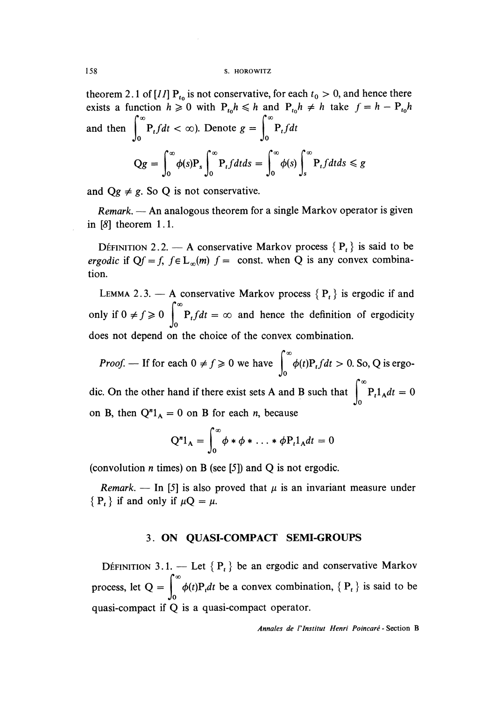theorem 2.1 of [11]  $P_{t_0}$  is not conservative, for each  $t_0 > 0$ , and hence there exists a function  $h \ge 0$  with  $P_{t_0}h \le h$  and  $P_{t_0}h \ne h$  take  $f = h - P_{t_0}h$ and then  $\int_0^\infty P_t f dt < \infty$ ). Denote  $g = \int_0^\infty$  $Qg = \int_{0}^{\infty} \phi(s) P_s \int_{0}^{\infty} P_t f dt ds = \int_{0}^{\infty} \phi(s) \int_{0}^{\infty} P_t f dt ds \leq g$ 

and  $Qg \neq g$ . So Q is not conservative.

 $Remark.$ — An analogous theorem for a single Markov operator is given in  $[8]$  theorem 1.1.

DÉFINITION 2.2. — A conservative Markov process  ${P<sub>t</sub>}$  is said to be ergodic if  $Qf = f$ ,  $f \in L_{\infty}(m)$   $f =$  const. when Q is any convex combination.

LEMMA 2.3. - A conservative Markov process  $\{P_t\}$  is ergodic if and only if  $0 \neq f \ge 0$   $\int_{0}^{\infty} P_t f dt = \infty$  and hence the definition of ergodicity does not depend on the choice of the convex combination.

*Proof.* — If for each  $0 \neq f \ge 0$  we have  $\int_{0}^{\infty} \phi(t) P_t f dt > 0$ . So, Q is ergodic. On the other hand if there exist sets A and B such that  $\int_{0}^{\infty} P_{t} 1_{A} dt = 0$ on B, then  $Q''1_A = 0$  on B for each *n*, because

$$
Q^{n}1_{A} = \int_{0}^{\infty} \phi * \phi * \ldots * \phi P_{t}1_{A}dt = 0
$$

(convolution *n* times) on B (see [5]) and Q is not ergodic.

Remark. — In [5] is also proved that  $\mu$  is an invariant measure under  ${P_t}$  if and only if  $\mu Q = \mu$ .

## 3. ON QUASI-COMPACT SEMI-GROUPS

DÉFINITION 3.1. — Let  ${P_t}$  be an ergodic and conservative Markov process, let  $Q = \int_{0}^{\infty} \phi(t)P_t dt$  be a convex combination,  $\{P_t\}$  is said to be quasi-compact if Q is a quasi-compact operator.

Annales de l'Institut Henri Poincaré - Section B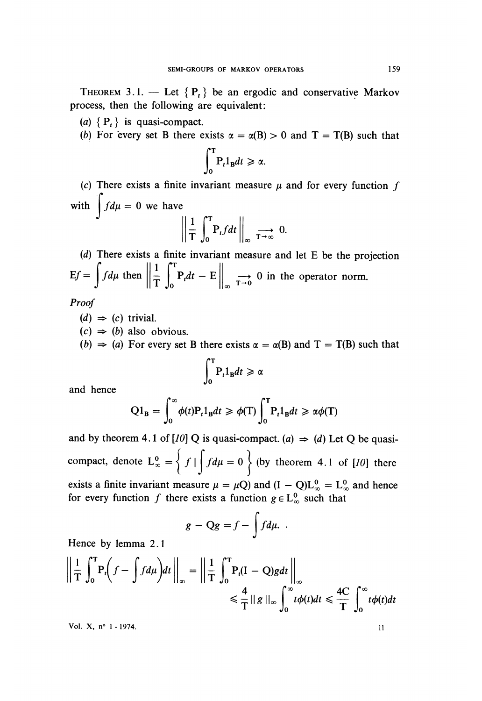THEOREM 3.1. - Let  $\{P_t\}$  be an ergodic and conservative Markov process, then the following are equivalent:

(a)  $\{P_t\}$  is quasi-compact.

(b) For every set B there exists  $\alpha = \alpha(B) > 0$  and  $T = T(B)$  such that

$$
\int_0^T \mathbf{P}_t \mathbf{1}_B dt \geqslant \alpha.
$$

(c) There exists a finite invariant measure  $\mu$  and for every function f with  $\int f d\mu = 0$  we have

$$
\left\| \frac{1}{T} \int_0^T P_t f dt \right\|_{\infty} \xrightarrow{T \to \infty} 0.
$$

(d) There exists a finite invariant measure and let E be the projection 1  $\int_0^T$  $Ef = \int f d\mu$  then  $\left\| \frac{1}{T} \int_0^T P_t dt - E \right\|_{\infty} \longrightarrow 0$  in the operator norm.

Proof

 $(d) \Rightarrow (c)$  trivial.

 $(c) \Rightarrow (b)$  also obvious.

(b)  $\Rightarrow$  (a) For every set B there exists  $\alpha = \alpha(B)$  and T = T(B) such that

$$
\int_0^T \mathbf{P}_t \mathbf{1}_B dt \ge \alpha
$$

and hence

$$
Q1_{\mathbf{B}} = \int_0^\infty \phi(t) P_t 1_{\mathbf{B}} dt \geq \phi(T) \int_0^T P_t 1_{\mathbf{B}} dt \geq \alpha \phi(T)
$$

and by theorem 4.1 of [10] Q is quasi-compact. (a)  $\Rightarrow$  (d) Let Q be quasicompact, denote  $L_{\infty}^{0} = \left\{ f \mid \int f d\mu = 0 \right\}$  (by theorem 4.1 of [10] there exists a finite invariant measure  $\mu = \mu Q$ ) and  $(I - Q)L_{\infty}^0 = L_{\infty}^0$  and hence for every function f there exists a function  $g \in L^0_{\infty}$  such that

$$
g - \mathrm{Q}g = f - \int f d\mu.
$$

Hence by lemma 2.1

$$
\left\| \frac{1}{T} \int_0^T P_t \left( f - \int f d\mu \right) dt \right\|_{\infty} = \left\| \frac{1}{T} \int_0^T P_t (I - Q) g dt \right\|_{\infty}
$$
  

$$
\leq \frac{4}{T} ||g||_{\infty} \int_0^{\infty} t \phi(t) dt \leq \frac{4C}{T} \int_0^{\infty} t \phi(t) dt
$$

Vol. X, n° 1 - 1974.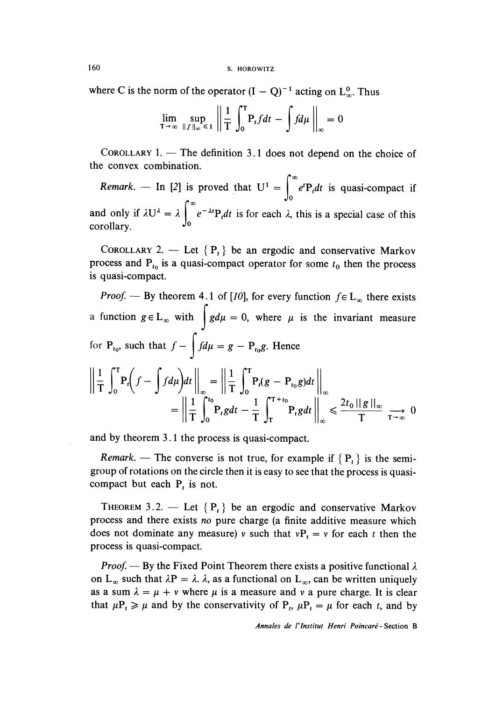160 S. HOROWITZ

where C is the norm of the operator  $(I - Q)^{-1}$  acting on  $L_{\infty}^{0}$ . Thus

$$
\lim_{T \to \infty} \sup_{\|f\|_{\infty} \leq 1} \left\| \frac{1}{T} \int_{0}^{T} P_{t} f dt - \int f d\mu \right\|_{\infty} = 0
$$

COROLLARY  $1.$  - The definition 3.1 does not depend on the choice of the convex combination.

Remark. – In [2] is proved that  $U^1 = \int_{0}^{\infty} e^{t}P_t dt$  is quasi-compact if and only if  $\lambda U^{\lambda} = \lambda \int_0^{\infty} e^{-\lambda t} P_t dt$  is for each  $\lambda$ , this is a special case of this corollary.

COROLLARY 2. - Let  $\{P_t\}$  be an ergodic and conservative Markov process and  $P_{t_0}$  is a quasi-compact operator for some  $t_0$  then the process is quasi-compact.

*Proof.* — By theorem 4.1 of [10], for every function  $f \in L_{\infty}$  there exists a function  $g \in L_{\infty}$  with  $\int g d\mu = 0$ , where  $\mu$  is the invariant measure for  $P_{t_0}$ , such that  $f - \int f d\mu = g - P_{t_0}g$ . Hence  $\left\| \frac{1}{T} \int_0^T P_t \left( f - \int f d\mu \right) dt \right\|_{\infty} = \left\| \frac{1}{T} \int_0^T P_t (g - P_{t_0} g) dt \right\|_{\infty}$  $= \left\| \frac{1}{T} \int_{0}^{t_0} P_t g dt - \frac{1}{T} \int_{T}^{T+t_0} P_t g dt \right\|_{\infty} \leq \frac{2t_0 \|g\|_{\infty}}{T} \xrightarrow{T \to \infty} 0$ 

and by theorem 3.1 the process is quasi-compact.

Remark. — The converse is not true, for example if  $\{P_t\}$  is the semigroup of rotations on the circle then it is easy to see that the process is quasicompact but each  $P_t$  is not.

THEOREM 3.2. — Let  $\{P_t\}$  be an ergodic and conservative Markov process and there exists no pure charge (a finite additive measure which does not dominate any measure) v such that  $vP_t = v$  for each t then the process is quasi-compact.

*Proof.* — By the Fixed Point Theorem there exists a positive functional  $\lambda$ on L<sub>∞</sub> such that  $\lambda P = \lambda$ .  $\lambda$ , as a functional on L<sub>∞</sub>, can be written uniquely as a sum  $\lambda = \mu + \nu$  where  $\mu$  is a measure and  $\nu$  a pure charge. It is clear that  $\mu P_t \ge \mu$  and by the conservativity of  $P_t$ ,  $\mu P_t = \mu$  for each t, and by

Annales de l'Institut Henri Poincaré - Section B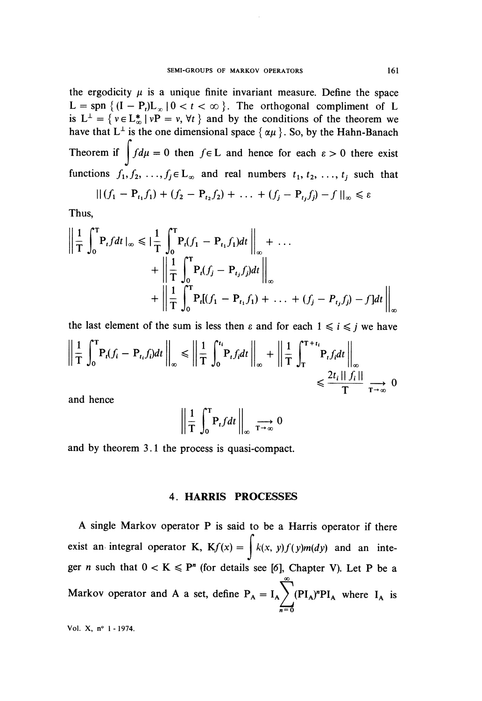the ergodicity  $\mu$  is a unique finite invariant measure. Define the space  $L =$ spn  $\{(I - P_t)L_{\infty} | 0 < t < \infty \}$ . The orthogonal compliment of L is  $L^{\perp} = \{ v \in L^*_{\infty} \mid vP = v, \forall t \}$  and by the conditions of the theorem we have that  $L^{\perp}$  is the one dimensional space  $\{\alpha\mu\}$ . So, by the Hahn-Banach Theorem if  $\int f d\mu = 0$  then  $f \in L$  and hence for each  $\varepsilon > 0$  there exist functions  $f_1, f_2, ..., f_j \in L_\infty$  and real numbers  $t_1, t_2, ..., t_j$  such that

$$
|| (f_1 - P_{t_1}f_1) + (f_2 - P_{t_2}f_2) + \ldots + (f_j - P_{t_j}f_j) - f ||_{\infty} \le \varepsilon
$$

Thus,

$$
\left\| \frac{1}{T} \int_0^T P_t f dt \right\|_{\infty} \leqslant \left\| \frac{1}{T} \int_0^T P_t (f_1 - P_{t_1} f_1) dt \right\|_{\infty} + \dots + \left\| \frac{1}{T} \int_0^T P_t (f_j - P_{t_j} f_j) dt \right\|_{\infty} + \left\| \frac{1}{T} \int_0^T P_t [(f_1 - P_{t_1} f_1) + \dots + (f_j - P_{t_j} f_j) - f] dt \right\|_{\infty}
$$

the last element of the sum is less then  $\varepsilon$  and for each  $1 \le i \le j$  we have

$$
\left\| \frac{1}{T} \int_0^T P_t(f_i - P_{t_i} f_i) dt \right\|_{\infty} \le \left\| \frac{1}{T} \int_0^{t_i} P_t f_i dt \right\|_{\infty} + \left\| \frac{1}{T} \int_T^{T+t_i} P_t f_i dt \right\|_{\infty} \le \frac{2t_i \, ||\, f_i||}{T} \xrightarrow[T \to \infty]{} 0
$$

and hence

$$
\left\| \frac{1}{T} \int_0^T P_t f dt \right\|_{\infty} \xrightarrow{T \to \infty} 0
$$

and by theorem 3.1 the process is quasi-compact.

#### 4. HARRIS PROCESSES

A single Markov operator P is said to be a Harris operator if there exist an integral operator K,  $Kf(x) = \int k(x, y)f(y)m(dy)$  and an integer n such that  $0 < K \le P<sup>n</sup>$  (for details see [6], Chapter V). Let P be a  $\infty$ Markov operator and A a set, define  $P_A = I_A \sum_{\text{A}} (PI_A)^n PI_A$  where  $I_A$  is

Vol. X, n° 1 -1974.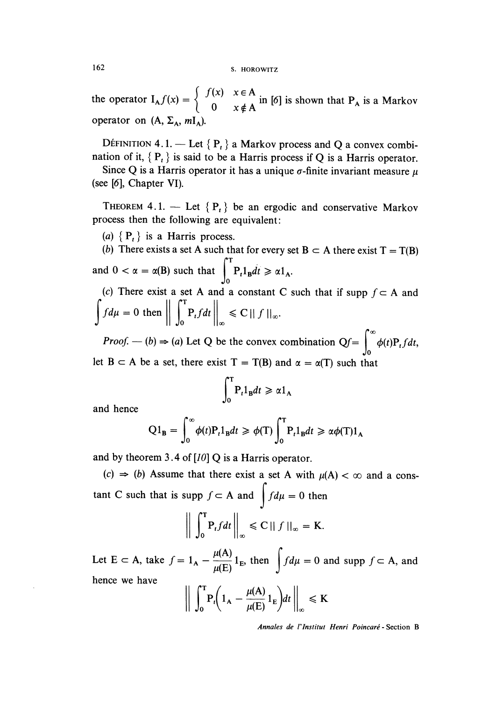162 S. HOROWITZ

the operator  $I_A f(x) = \begin{cases} 0 & x \notin A \end{cases}$  in [6] is shown that  $P_A$  is a Markov operator on  $(A, \Sigma_{\lambda}, mI_{\lambda})$ .

DÉFINITION 4.1. - Let  $\{P_t\}$  a Markov process and Q a convex combination of it,  $\{P_t\}$  is said to be a Harris process if Q is a Harris operator.

Since Q is a Harris operator it has a unique  $\sigma$ -finite invariant measure  $\mu$ (see [6], Chapter VI).

THEOREM 4.1. - Let  ${P_t}$  be an ergodic and conservative Markov process then the following are equivalent :

(a)  $\{P_t\}$  is a Harris process.

(b) There exists a set A such that for every set  $B \subset A$  there exist  $T = T(B)$ and  $0 < \alpha = \alpha(B)$  such that  $\int_{0}^{T} P_{t} 1_{B} dt \ge \alpha 1_{A}$ . (c) There exist a set A and a constant C such that if supp  $f \subset A$  and

$$
\int f d\mu = 0 \text{ then } \left\| \int_0^T P_t f dt \right\|_{\infty} \leq C ||f||_{\infty}.
$$

*Proof.*  $(-b) \Rightarrow (a)$  Let Q be the convex combination  $Qf = \int_0^{\infty} \phi(t) P_t f dt$ , let  $B \subset A$  be a set, there exist  $T = T(B)$  and  $\alpha = \alpha(T)$  such that

$$
\int_0^T \mathbf{P}_t \mathbf{1}_B dt \geqslant \alpha \mathbf{1}_A
$$

and hence

$$
Q1_{\mathbf{B}} = \int_0^\infty \phi(t) P_t 1_{\mathbf{B}} dt \geq \phi(T) \int_0^T P_t 1_{\mathbf{B}} dt \geq \alpha \phi(T) 1_A
$$

and by theorem 3.4 of  $[10]$  Q is a Harris operator.

 $(c) \Rightarrow (b)$  Assume that there exist a set A with  $\mu(A) < \infty$  and a constant C such that is supp  $f \subset A$  and  $\int f d\mu = 0$  then

$$
\bigg\|\int_0^T P_t f dt\bigg\|_{\infty} \leq C \|f\|_{\infty} = K.
$$

Let E  $\subset$  A, take  $f = 1_A - \frac{\mu(A)}{\mu(E)} 1_E$ , then  $\int f d\mu = 0$  and supp  $f \subset A$ , and hence we have

$$
\bigg\| \int_0^T P_t \bigg( 1_A - \frac{\mu(A)}{\mu(E)} 1_E \bigg) dt \bigg\|_{\infty} \leq K
$$

Annales de l'Institut Henri Poincaré - Section B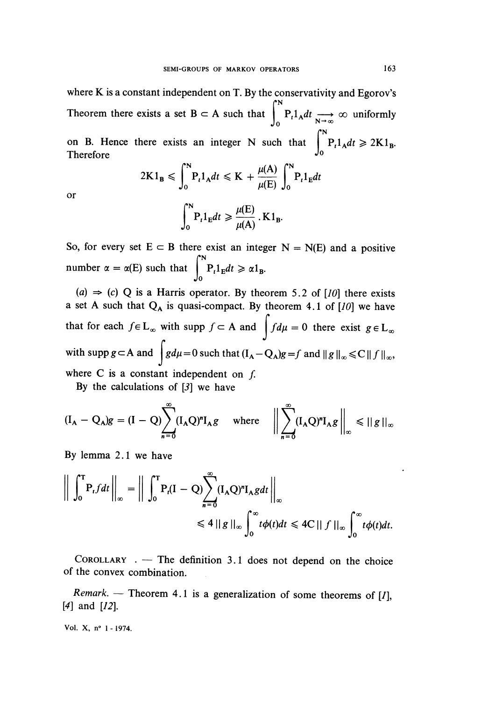where K is a constant independent on T. By the conservativity and Egorov's Theorem there exists a set B c A such that  $\int_{0}^{N} P_{t}1_{A}dt \longrightarrow_{N \to \infty} \infty$  uniformly on B. Hence there exists an integer N such that  $\int_{0}^{N} P_{t}1_{A}dt \geq 2$ Therefore  $\int_0$ 

$$
2K1_{\mathbf{B}} \leqslant \int_0^{\mathbf{R}} P_t 1_A dt \leqslant K + \frac{\mu(A)}{\mu(E)} \int_0^{\mathbf{R}} P_t 1_E dt
$$

or

$$
\int_0^N P_t 1_E dt \geqslant \frac{\mu(E)}{\mu(A)} \cdot K 1_B.
$$

So, for every set  $E \subset B$  there exist an integer  $N = N(E)$  and a positive number  $\alpha = \alpha(E)$  such that  $\int_{0}^{1} P_{t}1_{E}dt \geq \alpha 1_{B}$ .

(a)  $\Rightarrow$  (c) Q is a Harris operator. By theorem 5.2 of [10] there exists a set A such that  $Q_A$  is quasi-compact. By theorem 4.1 of [10] we have that for each  $f \in L_{\infty}$  with supp  $f \subset A$  and  $\int f d\mu = 0$  there exist  $g \in L_{\infty}$ with supp  $g \subset A$  and  $\int g d\mu = 0$  such that  $(I_A - Q_A)g = f$  and  $||g||_{\infty} \leq C ||f||_{\infty}$ , where  $C$  is a constant independent on  $f$ .

By the calculations of [3] we have

$$
(\mathbf{I}_{A} - \mathbf{Q}_{A})g = (\mathbf{I} - \mathbf{Q})\sum_{n=0}^{\infty} (\mathbf{I}_{A}\mathbf{Q})^{n}\mathbf{I}_{A}g \quad \text{where} \quad \left\|\sum_{n=0}^{\infty} (\mathbf{I}_{A}\mathbf{Q})^{n}\mathbf{I}_{A}g\right\|_{\infty} \leq \|\,g\,\|_{\infty}
$$

By lemma 2.1 we have

$$
\left\| \int_0^T P_t f dt \right\|_{\infty} = \left\| \int_0^T P_t (I - Q) \sum_{n=0}^{\infty} (I_A Q)^n I_A g dt \right\|_{\infty}
$$
  
\$\leq 4 || g ||\_{\infty} \int\_0^{\infty} t \phi(t) dt \leq 4C || f ||\_{\infty} \int\_0^{\infty} t \phi(t) dt.\$

COROLLARY  $\cdot$  - The definition 3.1 does not depend on the choice of the convex combination. ,

Remark. — Theorem 4.1 is a generalization of some theorems of [1], [4] and [12].

Vol. X, n° 1 - 1974.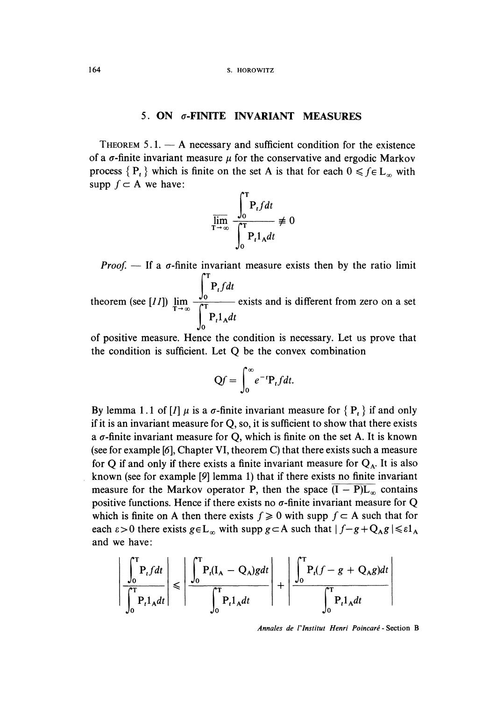## 5. ON  $\sigma$ -FINITE INVARIANT MEASURES

THEOREM  $5.1.$  - A necessary and sufficient condition for the existence of a  $\sigma$ -finite invariant measure  $\mu$  for the conservative and ergodic Markov process  $\{P_t\}$  which is finite on the set A is that for each  $0 \le f \in L_{\infty}$  with supp  $f \subset A$  we have:



Proof.  $-$  If a  $\sigma$ -finite invariant measure exists then by the ratio limit  $\int_0$   $\int$ <sub>t</sub>  $\int$   $\int$   $\int$   $\int$ theorem (see [11])  $\lim_{T\to\infty} \frac{1}{T}$  exists and is different from zero on a set  $\bf{0}$ 

of positive measure. Hence the condition is necessary. Let us prove that the condition is sufficient. Let Q be the convex combination

$$
Qf = \int_0^\infty e^{-t} P_t f dt.
$$

By lemma 1.1 of [*I*]  $\mu$  is a  $\sigma$ -finite invariant measure for {  $P_t$ } if and only if it is an invariant measure for Q, so, it is sufficient to show that there exists a  $\sigma$ -finite invariant measure for Q, which is finite on the set A. It is known (see for example [6], Chapter VI, theorem C) that there exists such a measure for Q if and only if there exists a finite invariant measure for  $Q<sub>A</sub>$ . It is also . known (see for example [9] lemma 1) that if there exists no finite invariant measure for the Markov operator P, then the space  $(I - P)L_{\infty}$  contains positive functions. Hence if there exists no  $\sigma$ -finite invariant measure for Q which is finite on A then there exists  $f \ge 0$  with supp  $f \subset A$  such that for each  $\varepsilon > 0$  there exists  $g \in L_{\infty}$  with supp  $g \subset A$  such that  $|f - g + Q_A g| \leq \varepsilon 1_A$ and we have :

$$
\left| \frac{\int_0^T P_t f dt}{\int_0^T P_t 1_A dt} \right| \leqslant \left| \frac{\int_0^T P_t (I_A - Q_A) g dt}{\int_0^T P_t 1_A dt} \right| + \left| \frac{\int_0^T P_t (f - g + Q_A g) dt}{\int_0^T P_t 1_A dt} \right|
$$

Annales de I'Institut Henri Poincaré - Section B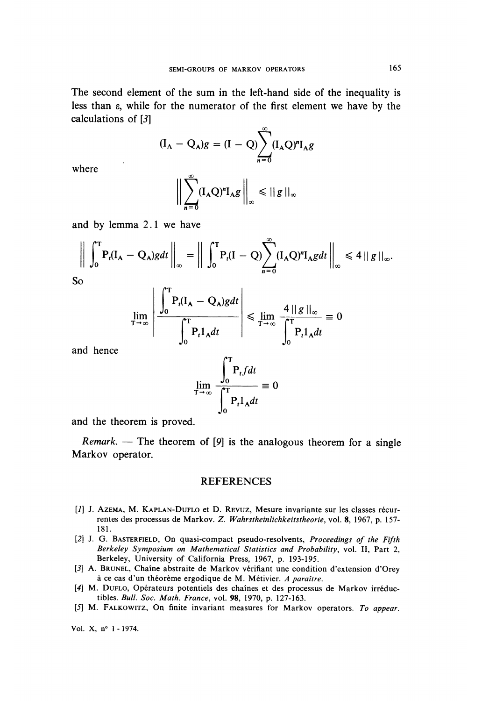The second element of the sum in the left-hand side of the inequality is less than e, while for the numerator of the first element we have by the calculations of [3]

$$
({\rm I}_{A} - {\rm Q}_{A})g = ({\rm I} - {\rm Q})\sum_{n=0}^{\infty}({\rm I}_{A}{\rm Q})^{n}{\rm I}_{A}g
$$

where

$$
\bigg\|\sum_{n=0}^{\infty}(\mathbf{I}_{\mathbf{A}}\mathbf{Q})^{n}\mathbf{I}_{\mathbf{A}}g\bigg\|_{\infty}\leq ||g||_{\infty}
$$

and by lemma 2.1 we have

$$
\left\| \int_0^T P_t(I_A - Q_A) g dt \right\|_{\infty} = \left\| \int_0^T P_t(I - Q) \sum_{n=0}^{\infty} (I_A Q)^n I_A g dt \right\|_{\infty} \le 4 \left\| g \right\|_{\infty}.
$$
  
So

$$
\lim_{T \to \infty} \left| \frac{\left| \int_0^T P_t(I_A - Q_A) g dt}{\int_0^T P_t 1_A dt} \right| \le \lim_{T \to \infty} \frac{4 ||g||_{\infty}}{\int_0^T P_t 1_A dt} \equiv 0
$$

and hence

$$
\lim_{T \to \infty} \frac{\int_0^T P_t f dt}{\int_0^T P_t 1_A dt} \equiv 0
$$

and the theorem is proved.

Remark. — The theorem of [9] is the analogous theorem for a single Markov operator.

### **REFERENCES**

- [1] J. AZEMA, M. KAPLAN-DUFLO et D. REVUZ, Mesure invariante sur les classes récurrentes des processus de Markov. Z. Wahrstheinlichkeitstheorie, vol. 8, 1967, p. 157- 181.
- [2] J. G. BASTERFIELD, On quasi-compact pseudo-resolvents, Proceedings of the Fifth Berkeley Symposium on Mathematical Statistics and Probability, vol. II, Part 2, Berkeley, University of California Press, 1967, p. 193-195.
- [3] A. BRUNEL, Chaine abstraite de Markov vérifiant une condition d'extension d'Orey à ce cas d'un théorème ergodique de M. Métivier. A paraître.
- [4] M. DUFLO, Opérateurs potentiels des chaînes et des processus de Markov irréductibles. Bull. Soc. Math. France, vol. 98, 1970, p. 127-163.
- [5] M. FALKOWITZ, On finite invariant measures for Markov operators. To appear.

Vol. X, n° 1 - 1974.